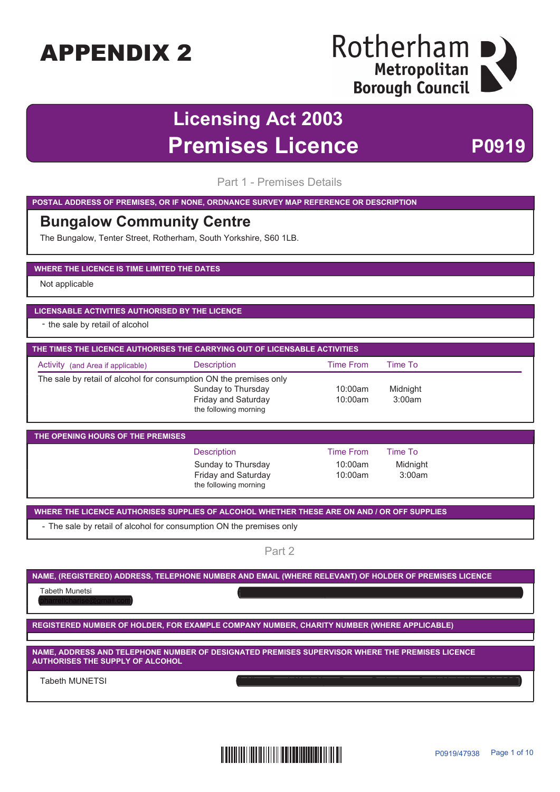### Rotherham Metropolitan **Borough Council**

### **Licensing Act 2003 Premises Licence** P0919

Part 1 - Premises Details

**POSTAL ADDRESS OF PREMISES, OR IF NONE, ORDNANCE SURVEY MAP REFERENCE OR DESCRIPTION**

#### **Bungalow Community Centre**

The Bungalow, Tenter Street, Rotherham, South Yorkshire, S60 1LB.

#### **WHERE THE LICENCE IS TIME LIMITED THE DATES**

Not applicable

#### **LICENSABLE ACTIVITIES AUTHORISED BY THE LICENCE**

- the sale by retail of alcohol

| THE TIMES THE LICENCE AUTHORISES THE CARRYING OUT OF LICENSABLE ACTIVITIES |                                                                           |                    |                    |  |  |
|----------------------------------------------------------------------------|---------------------------------------------------------------------------|--------------------|--------------------|--|--|
| Activity (and Area if applicable)                                          | <b>Description</b>                                                        | Time From          | Time To            |  |  |
| The sale by retail of alcohol for consumption ON the premises only         | Sunday to Thursday<br><b>Friday and Saturday</b><br>the following morning | 10:00am<br>10:00am | Midnight<br>3:00am |  |  |

| THE OPENING HOURS OF THE PREMISES |                                                                    |                    |                    |  |  |  |
|-----------------------------------|--------------------------------------------------------------------|--------------------|--------------------|--|--|--|
|                                   | <b>Description</b>                                                 | Time From          | Time To            |  |  |  |
|                                   | Sunday to Thursday<br>Friday and Saturday<br>the following morning | 10:00am<br>10:00am | Midnight<br>3:00am |  |  |  |

**WHERE THE LICENCE AUTHORISES SUPPLIES OF ALCOHOL WHETHER THESE ARE ON AND / OR OFF SUPPLIES**

- The sale by retail of alcohol for consumption ON the premises only

Part 2

#### **NAME, (REGISTERED) ADDRESS, TELEPHONE NUMBER AND EMAIL (WHERE RELEVANT) OF HOLDER OF PREMISES LICENCE**

Tabeth Munetsi 9 Albert Road, Wath Upon Dearne, Road, Wath Upon Dearne, Rotherham, South Yorkshire, S63 6QP. S

pharrellcharise@gmail.com

**REGISTERED NUMBER OF HOLDER, FOR EXAMPLE COMPANY NUMBER, CHARITY NUMBER (WHERE APPLICABLE)**

**NAME, ADDRESS AND TELEPHONE NUMBER OF DESIGNATED PREMISES SUPERVISOR WHERE THE PREMISES LICENCE AUTHORISES THE SUPPLY OF ALCOHOL**

Tabeth MUNETSI

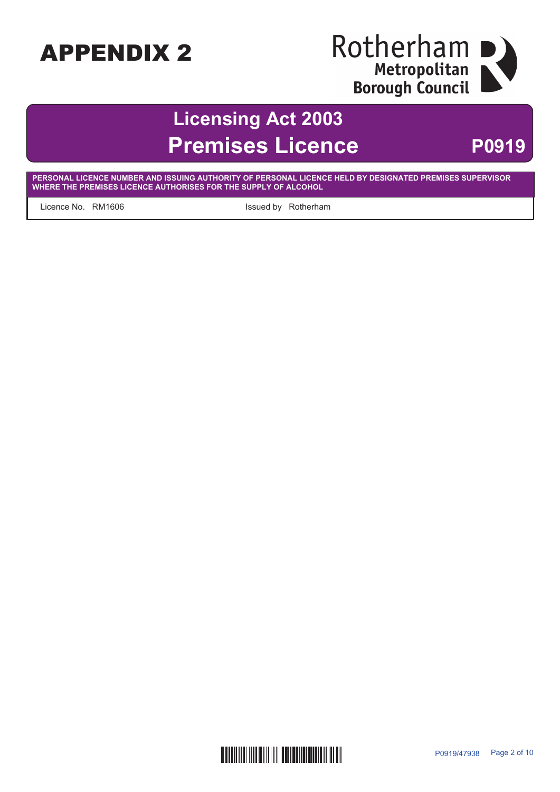# Rotherham<br>
Metropolitan<br>
Borough Council

# **Licensing Act 2003 Premises Licence** P0919

**PERSONAL LICENCE NUMBER AND ISSUING AUTHORITY OF PERSONAL LICENCE HELD BY DESIGNATED PREMISES SUPERVISOR WHERE THE PREMISES LICENCE AUTHORISES FOR THE SUPPLY OF ALCOHOL**

Licence No. RM1606 **Example 20** also less less less less less left and Rotherham

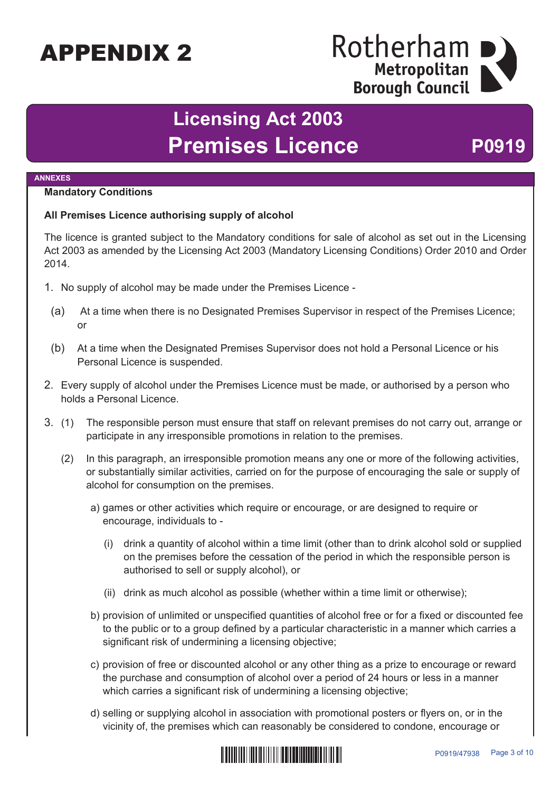### Rotherham Metropolitan **Borough Council**

# **Licensing Act 2003** Premises Licence P0919

#### **ANNEXES**

#### **Mandatory Conditions**

#### **All Premises Licence authorising supply of alcohol**

The licence is granted subject to the Mandatory conditions for sale of alcohol as set out in the Licensing Act 2003 as amended by the Licensing Act 2003 (Mandatory Licensing Conditions) Order 2010 and Order 2014.

- 1. No supply of alcohol may be made under the Premises Licence
	- (a) At a time when there is no Designated Premises Supervisor in respect of the Premises Licence; or
	- (b) At a time when the Designated Premises Supervisor does not hold a Personal Licence or his Personal Licence is suspended.
- 2. Every supply of alcohol under the Premises Licence must be made, or authorised by a person who holds a Personal Licence.
- 3. (1) The responsible person must ensure that staff on relevant premises do not carry out, arrange or participate in any irresponsible promotions in relation to the premises.
	- (2) In this paragraph, an irresponsible promotion means any one or more of the following activities, or substantially similar activities, carried on for the purpose of encouraging the sale or supply of alcohol for consumption on the premises.
		- a) games or other activities which require or encourage, or are designed to require or encourage, individuals to -
			- (i) drink a quantity of alcohol within a time limit (other than to drink alcohol sold or supplied on the premises before the cessation of the period in which the responsible person is authorised to sell or supply alcohol), or
			- (ii) drink as much alcohol as possible (whether within a time limit or otherwise);
		- b) provision of unlimited or unspecified quantities of alcohol free or for a fixed or discounted fee to the public or to a group defined by a particular characteristic in a manner which carries a significant risk of undermining a licensing objective;
		- c) provision of free or discounted alcohol or any other thing as a prize to encourage or reward the purchase and consumption of alcohol over a period of 24 hours or less in a manner which carries a significant risk of undermining a licensing objective;
		- d) selling or supplying alcohol in association with promotional posters or flyers on, or in the vicinity of, the premises which can reasonably be considered to condone, encourage or

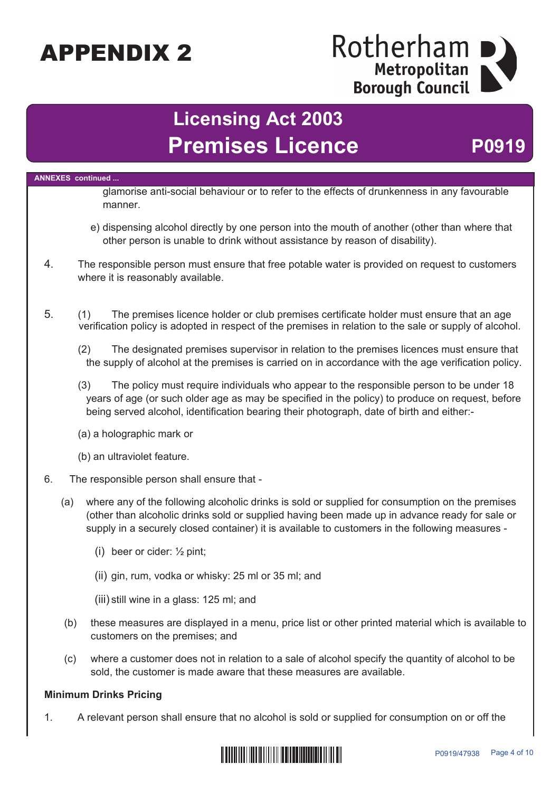### Rotherham Metropolitan **Borough Council**

# **Licensing Act 2003** Premises Licence P0919

**ANNEXES continued ...** glamorise anti-social behaviour or to refer to the effects of drunkenness in any favourable manner. e) dispensing alcohol directly by one person into the mouth of another (other than where that other person is unable to drink without assistance by reason of disability). 4. The responsible person must ensure that free potable water is provided on request to customers where it is reasonably available. 5. (1) The premises licence holder or club premises certificate holder must ensure that an age verification policy is adopted in respect of the premises in relation to the sale or supply of alcohol. (2) The designated premises supervisor in relation to the premises licences must ensure that the supply of alcohol at the premises is carried on in accordance with the age verification policy. (3) The policy must require individuals who appear to the responsible person to be under 18 years of age (or such older age as may be specified in the policy) to produce on request, before being served alcohol, identification bearing their photograph, date of birth and either:- (a) a holographic mark or (b) an ultraviolet feature. 6. The responsible person shall ensure that - (a) where any of the following alcoholic drinks is sold or supplied for consumption on the premises (other than alcoholic drinks sold or supplied having been made up in advance ready for sale or supply in a securely closed container) it is available to customers in the following measures - (i) beer or cider: ½ pint; (ii) gin, rum, vodka or whisky: 25 ml or 35 ml; and (iii) still wine in a glass: 125 ml; and (b) these measures are displayed in a menu, price list or other printed material which is available to customers on the premises; and (c) where a customer does not in relation to a sale of alcohol specify the quantity of alcohol to be sold, the customer is made aware that these measures are available. **Minimum Drinks Pricing**

1. A relevant person shall ensure that no alcohol is sold or supplied for consumption on or off the

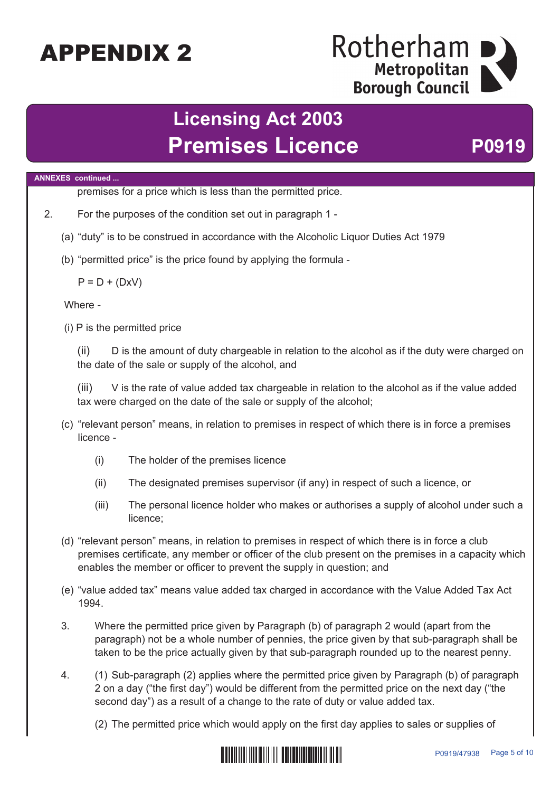### Rotherham Metropolitan **Borough Council**

# **Licensing Act 2003** Premises Licence P0919

#### **ANNEXES continued ...**

premises for a price which is less than the permitted price.

- 2. For the purposes of the condition set out in paragraph 1
	- (a) "duty" is to be construed in accordance with the Alcoholic Liquor Duties Act 1979
	- (b) "permitted price" is the price found by applying the formula -

 $P = D + (DxV)$ 

Where -

(i) P is the permitted price

(ii) D is the amount of duty chargeable in relation to the alcohol as if the duty were charged on the date of the sale or supply of the alcohol, and

(iii) V is the rate of value added tax chargeable in relation to the alcohol as if the value added tax were charged on the date of the sale or supply of the alcohol;

- (c) "relevant person" means, in relation to premises in respect of which there is in force a premises licence -
	- (i) The holder of the premises licence
	- (ii) The designated premises supervisor (if any) in respect of such a licence, or
	- (iii) The personal licence holder who makes or authorises a supply of alcohol under such a licence;
- (d) "relevant person" means, in relation to premises in respect of which there is in force a club premises certificate, any member or officer of the club present on the premises in a capacity which enables the member or officer to prevent the supply in question; and
- (e) "value added tax" means value added tax charged in accordance with the Value Added Tax Act 1994.
- 3. Where the permitted price given by Paragraph (b) of paragraph 2 would (apart from the paragraph) not be a whole number of pennies, the price given by that sub-paragraph shall be taken to be the price actually given by that sub-paragraph rounded up to the nearest penny.
- 4. (1) Sub-paragraph (2) applies where the permitted price given by Paragraph (b) of paragraph 2 on a day ("the first day") would be different from the permitted price on the next day ("the second day") as a result of a change to the rate of duty or value added tax.
	- (2) The permitted price which would apply on the first day applies to sales or supplies of

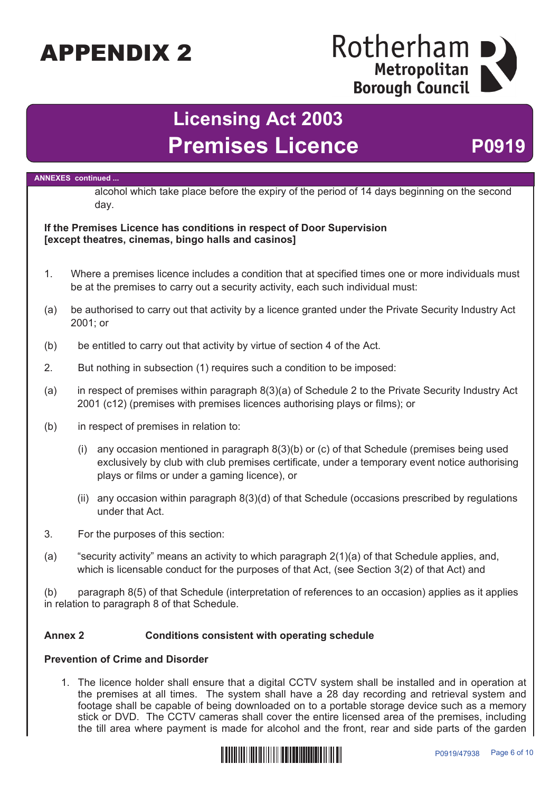### Rotherham Metropolitan **Borough Council**

# **Licensing Act 2003 Premises Licence** P0919

#### **ANNEXES continued ...**

alcohol which take place before the expiry of the period of 14 days beginning on the second day.

#### **If the Premises Licence has conditions in respect of Door Supervision [except theatres, cinemas, bingo halls and casinos]**

- 1. Where a premises licence includes a condition that at specified times one or more individuals must be at the premises to carry out a security activity, each such individual must:
- (a) be authorised to carry out that activity by a licence granted under the Private Security Industry Act 2001; or
- (b) be entitled to carry out that activity by virtue of section 4 of the Act.
- 2. But nothing in subsection (1) requires such a condition to be imposed:
- (a) in respect of premises within paragraph 8(3)(a) of Schedule 2 to the Private Security Industry Act 2001 (c12) (premises with premises licences authorising plays or films); or
- (b) in respect of premises in relation to:
	- (i) any occasion mentioned in paragraph 8(3)(b) or (c) of that Schedule (premises being used exclusively by club with club premises certificate, under a temporary event notice authorising plays or films or under a gaming licence), or
	- (ii) any occasion within paragraph 8(3)(d) of that Schedule (occasions prescribed by regulations under that Act.
- 3. For the purposes of this section:
- (a) "security activity" means an activity to which paragraph 2(1)(a) of that Schedule applies, and, which is licensable conduct for the purposes of that Act, (see Section 3(2) of that Act) and

(b) paragraph 8(5) of that Schedule (interpretation of references to an occasion) applies as it applies in relation to paragraph 8 of that Schedule.

#### **Annex 2 Conditions consistent with operating schedule**

#### **Prevention of Crime and Disorder**

1. The licence holder shall ensure that a digital CCTV system shall be installed and in operation at the premises at all times. The system shall have a 28 day recording and retrieval system and footage shall be capable of being downloaded on to a portable storage device such as a memory stick or DVD. The CCTV cameras shall cover the entire licensed area of the premises, including the till area where payment is made for alcohol and the front, rear and side parts of the garden

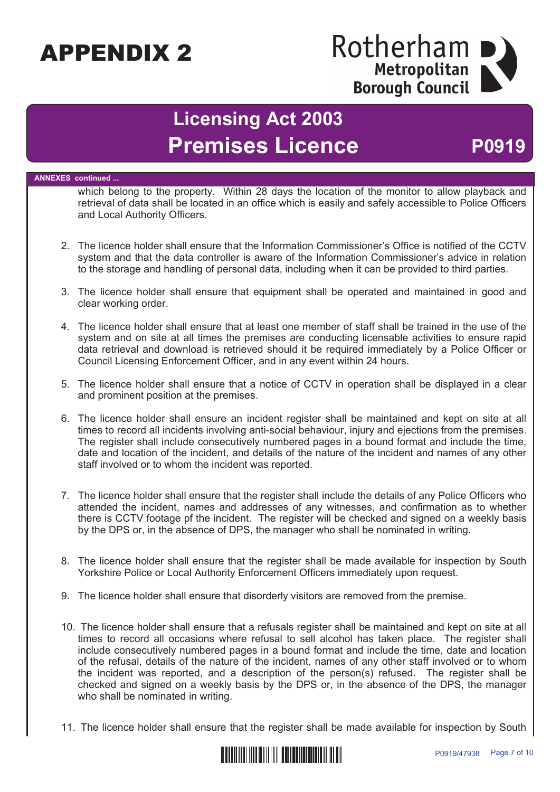### Rotherham Metropolitan **Borough Council**

# **Licensing Act 2003 Premises Licence** P0919

#### **ANNEXES continued ...**

which belong to the property. Within 28 days the location of the monitor to allow playback and retrieval of data shall be located in an office which is easily and safely accessible to Police Officers and Local Authority Officers.

- 2. The licence holder shall ensure that the Information Commissioner's Office is notified of the CCTV system and that the data controller is aware of the Information Commissioner's advice in relation to the storage and handling of personal data, including when it can be provided to third parties.
- 3. The licence holder shall ensure that equipment shall be operated and maintained in good and clear working order.
- 4. The licence holder shall ensure that at least one member of staff shall be trained in the use of the system and on site at all times the premises are conducting licensable activities to ensure rapid data retrieval and download is retrieved should it be required immediately by a Police Officer or Council Licensing Enforcement Officer, and in any event within 24 hours.
- 5. The licence holder shall ensure that a notice of CCTV in operation shall be displayed in a clear and prominent position at the premises.
- 6. The licence holder shall ensure an incident register shall be maintained and kept on site at all times to record all incidents involving anti-social behaviour, injury and ejections from the premises. The register shall include consecutively numbered pages in a bound format and include the time, date and location of the incident, and details of the nature of the incident and names of any other staff involved or to whom the incident was reported.
- 7. The licence holder shall ensure that the register shall include the details of any Police Officers who attended the incident, names and addresses of any witnesses, and confirmation as to whether there is CCTV footage pf the incident. The register will be checked and signed on a weekly basis by the DPS or, in the absence of DPS, the manager who shall be nominated in writing.
- 8. The licence holder shall ensure that the register shall be made available for inspection by South Yorkshire Police or Local Authority Enforcement Officers immediately upon request.
- 9. The licence holder shall ensure that disorderly visitors are removed from the premise.
- 10. The licence holder shall ensure that a refusals register shall be maintained and kept on site at all times to record all occasions where refusal to sell alcohol has taken place. The register shall include consecutively numbered pages in a bound format and include the time, date and location of the refusal, details of the nature of the incident, names of any other staff involved or to whom the incident was reported, and a description of the person(s) refused. The register shall be checked and signed on a weekly basis by the DPS or, in the absence of the DPS, the manager who shall be nominated in writing.
- 11. The licence holder shall ensure that the register shall be made available for inspection by South

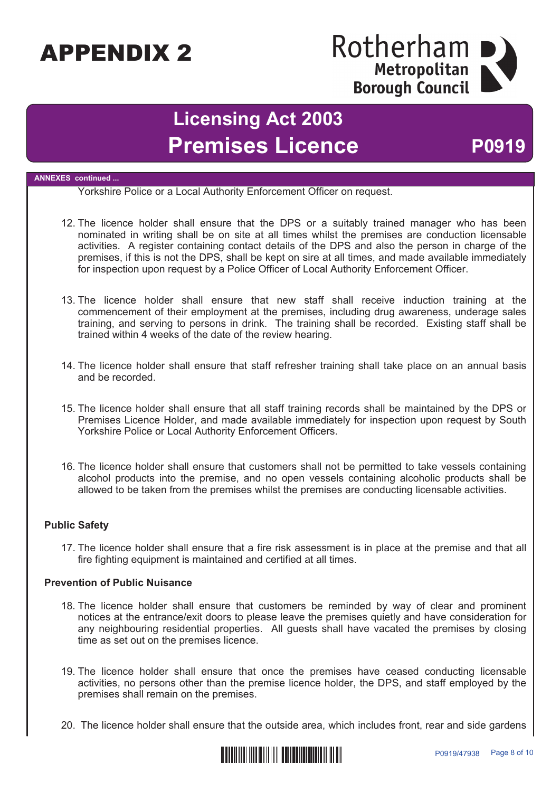### Rotherham I Metropolitan **Borough Council**

## **Licensing Act 2003 Premises Licence** P0919

#### **ANNEXES continued ...**

Yorkshire Police or a Local Authority Enforcement Officer on request.

- 12. The licence holder shall ensure that the DPS or a suitably trained manager who has been nominated in writing shall be on site at all times whilst the premises are conduction licensable activities. A register containing contact details of the DPS and also the person in charge of the premises, if this is not the DPS, shall be kept on sire at all times, and made available immediately for inspection upon request by a Police Officer of Local Authority Enforcement Officer.
- 13. The licence holder shall ensure that new staff shall receive induction training at the commencement of their employment at the premises, including drug awareness, underage sales training, and serving to persons in drink. The training shall be recorded. Existing staff shall be trained within 4 weeks of the date of the review hearing.
- 14. The licence holder shall ensure that staff refresher training shall take place on an annual basis and be recorded.
- 15. The licence holder shall ensure that all staff training records shall be maintained by the DPS or Premises Licence Holder, and made available immediately for inspection upon request by South Yorkshire Police or Local Authority Enforcement Officers.
- 16. The licence holder shall ensure that customers shall not be permitted to take vessels containing alcohol products into the premise, and no open vessels containing alcoholic products shall be allowed to be taken from the premises whilst the premises are conducting licensable activities.

#### **Public Safety**

17. The licence holder shall ensure that a fire risk assessment is in place at the premise and that all fire fighting equipment is maintained and certified at all times.

#### **Prevention of Public Nuisance**

- 18. The licence holder shall ensure that customers be reminded by way of clear and prominent notices at the entrance/exit doors to please leave the premises quietly and have consideration for any neighbouring residential properties. All guests shall have vacated the premises by closing time as set out on the premises licence.
- 19. The licence holder shall ensure that once the premises have ceased conducting licensable activities, no persons other than the premise licence holder, the DPS, and staff employed by the premises shall remain on the premises.
- 20. The licence holder shall ensure that the outside area, which includes front, rear and side gardens

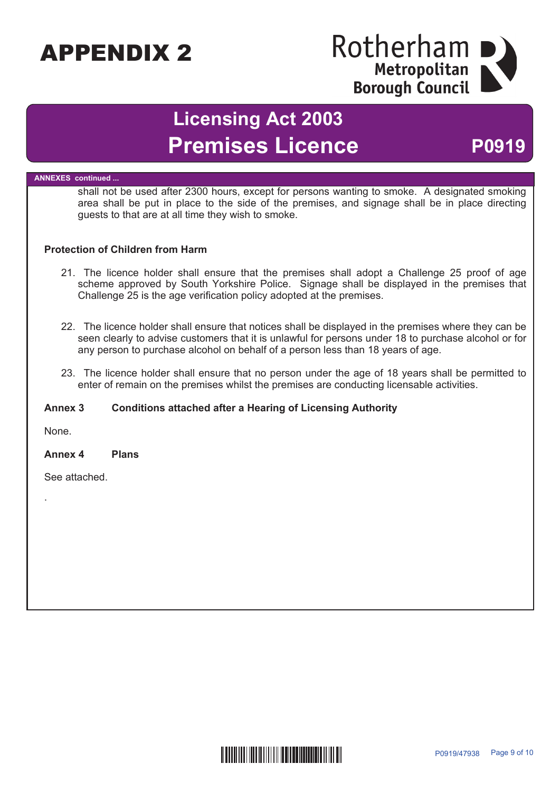### Rotherham Metropolitan **Borough Council**

# **Licensing Act 2003** Premises Licence P0919

#### **ANNEXES continued ...**

shall not be used after 2300 hours, except for persons wanting to smoke. A designated smoking area shall be put in place to the side of the premises, and signage shall be in place directing guests to that are at all time they wish to smoke.

#### **Protection of Children from Harm**

- 21. The licence holder shall ensure that the premises shall adopt a Challenge 25 proof of age scheme approved by South Yorkshire Police. Signage shall be displayed in the premises that Challenge 25 is the age verification policy adopted at the premises.
- 22. The licence holder shall ensure that notices shall be displayed in the premises where they can be seen clearly to advise customers that it is unlawful for persons under 18 to purchase alcohol or for any person to purchase alcohol on behalf of a person less than 18 years of age.
- 23. The licence holder shall ensure that no person under the age of 18 years shall be permitted to enter of remain on the premises whilst the premises are conducting licensable activities.

#### **Annex 3 Conditions attached after a Hearing of Licensing Authority**

None.

.

#### **Annex 4 Plans**

See attached.